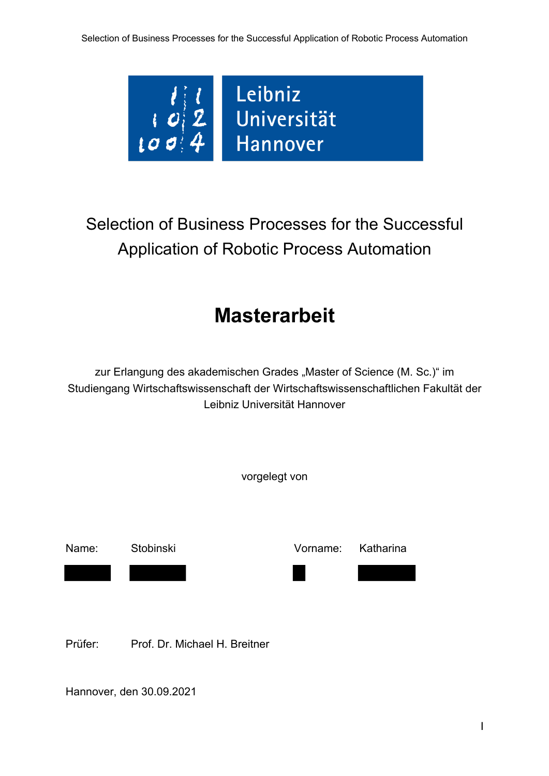

# Selection of Business Processes for the Successful Application of Robotic Process Automation

## **Masterarbeit**

zur Erlangung des akademischen Grades "Master of Science (M. Sc.)" im Studiengang Wirtschaftswissenschaft der Wirtschaftswissenschaftlichen Fakultät der Leibniz Universität Hannover



Hannover, den 30.09.2021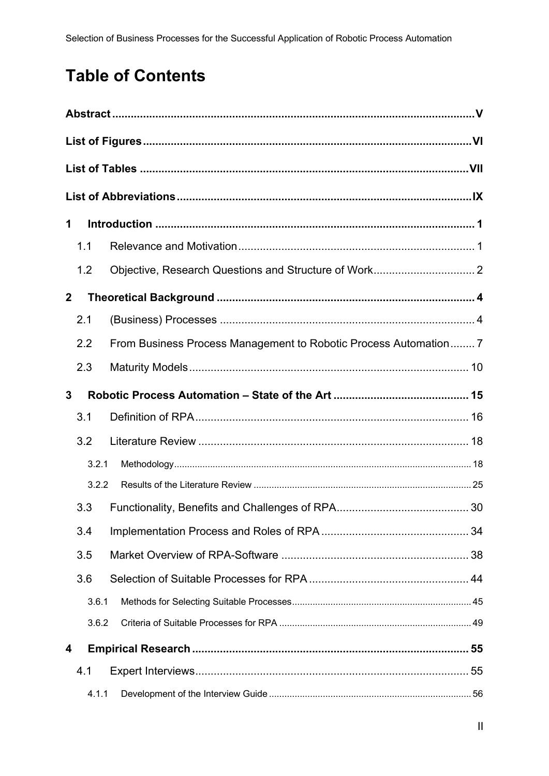## **Table of Contents**

| 1            |       |                                                                  |  |  |  |  |
|--------------|-------|------------------------------------------------------------------|--|--|--|--|
|              | 1.1   |                                                                  |  |  |  |  |
|              | 1.2   |                                                                  |  |  |  |  |
| $\mathbf{2}$ |       |                                                                  |  |  |  |  |
|              | 2.1   |                                                                  |  |  |  |  |
|              | 2.2   | From Business Process Management to Robotic Process Automation 7 |  |  |  |  |
|              | 2.3   |                                                                  |  |  |  |  |
|              | 3     |                                                                  |  |  |  |  |
|              | 3.1   |                                                                  |  |  |  |  |
|              | 3.2   |                                                                  |  |  |  |  |
|              | 3.2.1 |                                                                  |  |  |  |  |
|              | 3.2.2 |                                                                  |  |  |  |  |
|              | 3.3   |                                                                  |  |  |  |  |
|              | 3.4   |                                                                  |  |  |  |  |
|              | 3.5   |                                                                  |  |  |  |  |
|              | 3.6   |                                                                  |  |  |  |  |
|              | 3.6.1 |                                                                  |  |  |  |  |
|              | 3.6.2 |                                                                  |  |  |  |  |
| 4            |       |                                                                  |  |  |  |  |
|              | 4.1   |                                                                  |  |  |  |  |
|              | 4.1.1 |                                                                  |  |  |  |  |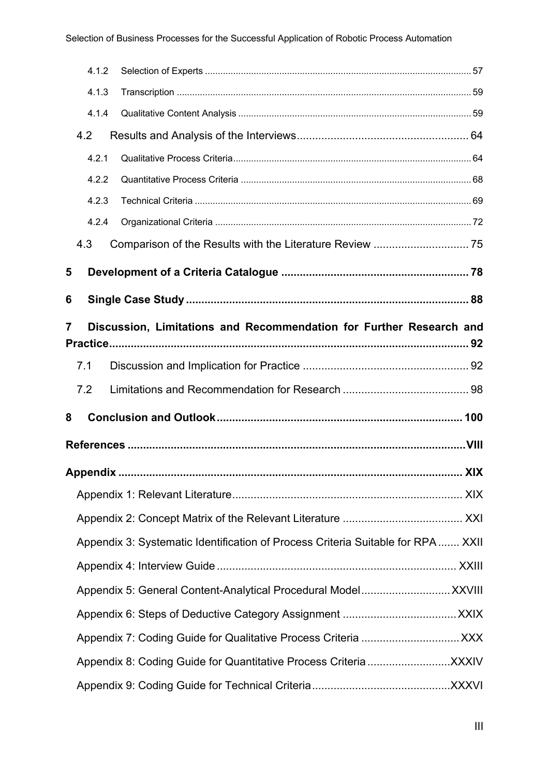|   | 4.1.2 |                                                                                 |  |
|---|-------|---------------------------------------------------------------------------------|--|
|   | 4.1.3 |                                                                                 |  |
|   | 4.1.4 |                                                                                 |  |
|   | 4.2   |                                                                                 |  |
|   | 4.2.1 |                                                                                 |  |
|   | 4.2.2 |                                                                                 |  |
|   | 4.2.3 |                                                                                 |  |
|   | 4.2.4 |                                                                                 |  |
|   | 4.3   |                                                                                 |  |
| 5 |       |                                                                                 |  |
| 6 |       |                                                                                 |  |
|   |       |                                                                                 |  |
| 7 |       | Discussion, Limitations and Recommendation for Further Research and             |  |
|   | 7.1   |                                                                                 |  |
|   | 7.2   |                                                                                 |  |
| 8 |       |                                                                                 |  |
|   |       |                                                                                 |  |
|   |       |                                                                                 |  |
|   |       |                                                                                 |  |
|   |       |                                                                                 |  |
|   |       | Appendix 3: Systematic Identification of Process Criteria Suitable for RPA XXII |  |
|   |       |                                                                                 |  |
|   |       |                                                                                 |  |
|   |       |                                                                                 |  |
|   |       |                                                                                 |  |
|   |       |                                                                                 |  |
|   |       |                                                                                 |  |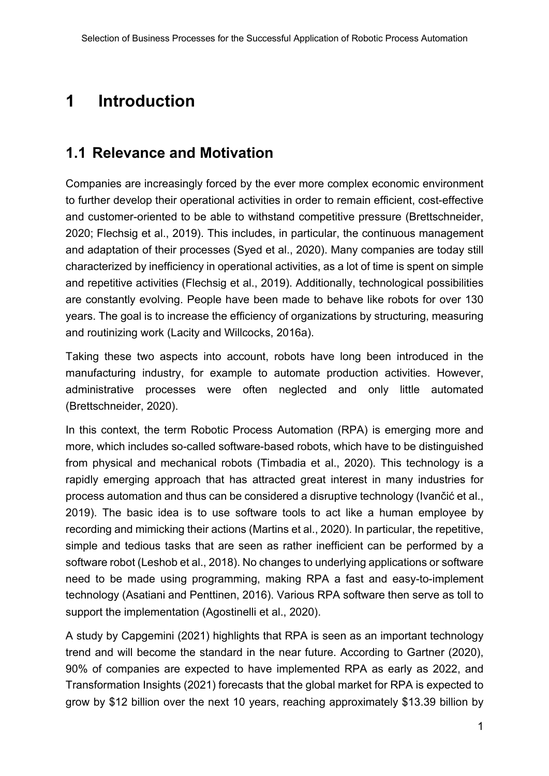## **1 Introduction**

#### **1.1 Relevance and Motivation**

Companies are increasingly forced by the ever more complex economic environment to further develop their operational activities in order to remain efficient, cost-effective and customer-oriented to be able to withstand competitive pressure (Brettschneider, 2020; Flechsig et al., 2019). This includes, in particular, the continuous management and adaptation of their processes (Syed et al., 2020). Many companies are today still characterized by inefficiency in operational activities, as a lot of time is spent on simple and repetitive activities (Flechsig et al., 2019). Additionally, technological possibilities are constantly evolving. People have been made to behave like robots for over 130 years. The goal is to increase the efficiency of organizations by structuring, measuring and routinizing work (Lacity and Willcocks, 2016a).

Taking these two aspects into account, robots have long been introduced in the manufacturing industry, for example to automate production activities. However, administrative processes were often neglected and only little automated (Brettschneider, 2020).

In this context, the term Robotic Process Automation (RPA) is emerging more and more, which includes so-called software-based robots, which have to be distinguished from physical and mechanical robots (Timbadia et al., 2020). This technology is a rapidly emerging approach that has attracted great interest in many industries for process automation and thus can be considered a disruptive technology (Ivančić et al., 2019). The basic idea is to use software tools to act like a human employee by recording and mimicking their actions (Martins et al., 2020). In particular, the repetitive, simple and tedious tasks that are seen as rather inefficient can be performed by a software robot (Leshob et al., 2018). No changes to underlying applications or software need to be made using programming, making RPA a fast and easy-to-implement technology (Asatiani and Penttinen, 2016). Various RPA software then serve as toll to support the implementation (Agostinelli et al., 2020).

A study by Capgemini (2021) highlights that RPA is seen as an important technology trend and will become the standard in the near future. According to Gartner (2020), 90% of companies are expected to have implemented RPA as early as 2022, and Transformation Insights (2021) forecasts that the global market for RPA is expected to grow by \$12 billion over the next 10 years, reaching approximately \$13.39 billion by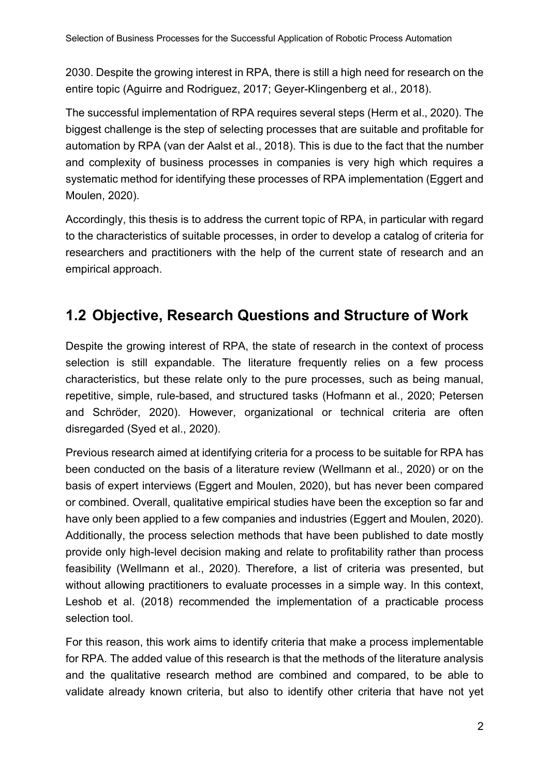2030. Despite the growing interest in RPA, there is still a high need for research on the entire topic (Aguirre and Rodriguez, 2017; Geyer-Klingenberg et al., 2018).

The successful implementation of RPA requires several steps (Herm et al., 2020). The biggest challenge is the step of selecting processes that are suitable and profitable for automation by RPA (van der Aalst et al., 2018). This is due to the fact that the number and complexity of business processes in companies is very high which requires a systematic method for identifying these processes of RPA implementation (Eggert and Moulen, 2020).

Accordingly, this thesis is to address the current topic of RPA, in particular with regard to the characteristics of suitable processes, in order to develop a catalog of criteria for researchers and practitioners with the help of the current state of research and an empirical approach.

### **1.2 Objective, Research Questions and Structure of Work**

Despite the growing interest of RPA, the state of research in the context of process selection is still expandable. The literature frequently relies on a few process characteristics, but these relate only to the pure processes, such as being manual, repetitive, simple, rule-based, and structured tasks (Hofmann et al., 2020; Petersen and Schröder, 2020). However, organizational or technical criteria are often disregarded (Syed et al., 2020).

Previous research aimed at identifying criteria for a process to be suitable for RPA has been conducted on the basis of a literature review (Wellmann et al., 2020) or on the basis of expert interviews (Eggert and Moulen, 2020), but has never been compared or combined. Overall, qualitative empirical studies have been the exception so far and have only been applied to a few companies and industries (Eggert and Moulen, 2020). Additionally, the process selection methods that have been published to date mostly provide only high-level decision making and relate to profitability rather than process feasibility (Wellmann et al., 2020). Therefore, a list of criteria was presented, but without allowing practitioners to evaluate processes in a simple way. In this context, Leshob et al. (2018) recommended the implementation of a practicable process selection tool.

For this reason, this work aims to identify criteria that make a process implementable for RPA. The added value of this research is that the methods of the literature analysis and the qualitative research method are combined and compared, to be able to validate already known criteria, but also to identify other criteria that have not yet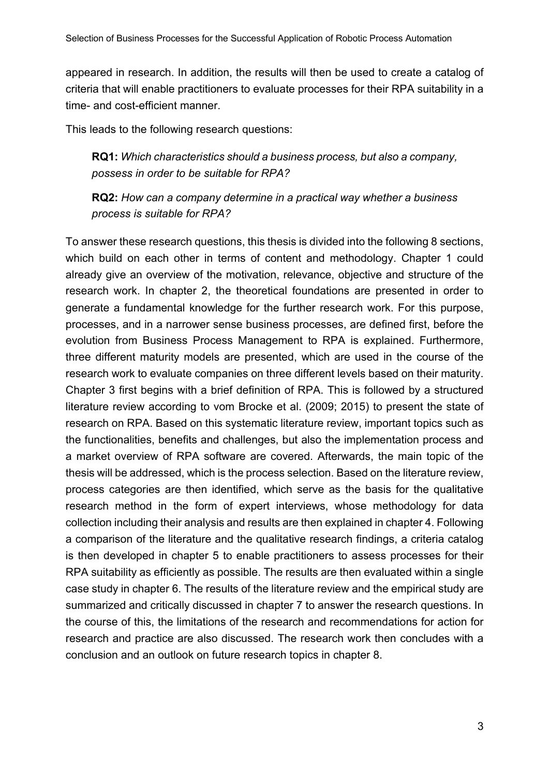appeared in research. In addition, the results will then be used to create a catalog of criteria that will enable practitioners to evaluate processes for their RPA suitability in a time- and cost-efficient manner.

This leads to the following research questions:

**RQ1:** *Which characteristics should a business process, but also a company, possess in order to be suitable for RPA?*

**RQ2:** *How can a company determine in a practical way whether a business process is suitable for RPA?*

To answer these research questions, this thesis is divided into the following 8 sections, which build on each other in terms of content and methodology. Chapter 1 could already give an overview of the motivation, relevance, objective and structure of the research work. In chapter 2, the theoretical foundations are presented in order to generate a fundamental knowledge for the further research work. For this purpose, processes, and in a narrower sense business processes, are defined first, before the evolution from Business Process Management to RPA is explained. Furthermore, three different maturity models are presented, which are used in the course of the research work to evaluate companies on three different levels based on their maturity. Chapter 3 first begins with a brief definition of RPA. This is followed by a structured literature review according to vom Brocke et al. (2009; 2015) to present the state of research on RPA. Based on this systematic literature review, important topics such as the functionalities, benefits and challenges, but also the implementation process and a market overview of RPA software are covered. Afterwards, the main topic of the thesis will be addressed, which is the process selection. Based on the literature review, process categories are then identified, which serve as the basis for the qualitative research method in the form of expert interviews, whose methodology for data collection including their analysis and results are then explained in chapter 4. Following a comparison of the literature and the qualitative research findings, a criteria catalog is then developed in chapter 5 to enable practitioners to assess processes for their RPA suitability as efficiently as possible. The results are then evaluated within a single case study in chapter 6. The results of the literature review and the empirical study are summarized and critically discussed in chapter 7 to answer the research questions. In the course of this, the limitations of the research and recommendations for action for research and practice are also discussed. The research work then concludes with a conclusion and an outlook on future research topics in chapter 8.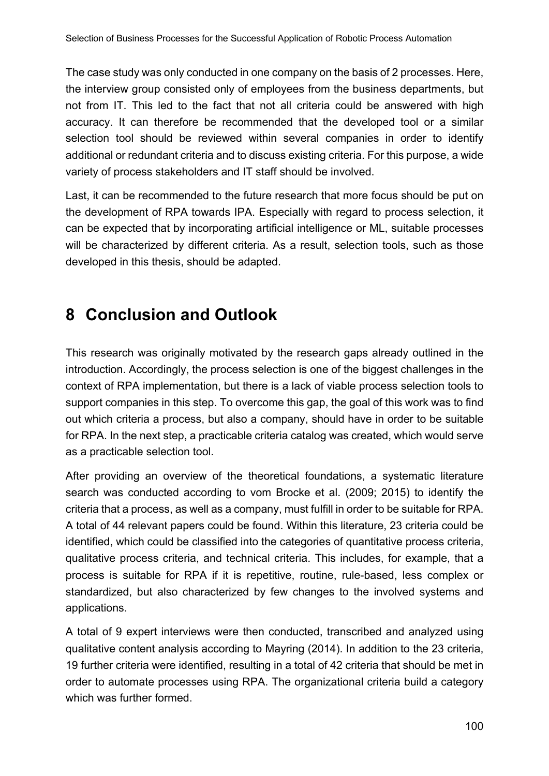The case study was only conducted in one company on the basis of 2 processes. Here, the interview group consisted only of employees from the business departments, but not from IT. This led to the fact that not all criteria could be answered with high accuracy. It can therefore be recommended that the developed tool or a similar selection tool should be reviewed within several companies in order to identify additional or redundant criteria and to discuss existing criteria. For this purpose, a wide variety of process stakeholders and IT staff should be involved.

Last, it can be recommended to the future research that more focus should be put on the development of RPA towards IPA. Especially with regard to process selection, it can be expected that by incorporating artificial intelligence or ML, suitable processes will be characterized by different criteria. As a result, selection tools, such as those developed in this thesis, should be adapted.

### **8 Conclusion and Outlook**

This research was originally motivated by the research gaps already outlined in the introduction. Accordingly, the process selection is one of the biggest challenges in the context of RPA implementation, but there is a lack of viable process selection tools to support companies in this step. To overcome this gap, the goal of this work was to find out which criteria a process, but also a company, should have in order to be suitable for RPA. In the next step, a practicable criteria catalog was created, which would serve as a practicable selection tool.

After providing an overview of the theoretical foundations, a systematic literature search was conducted according to vom Brocke et al. (2009; 2015) to identify the criteria that a process, as well as a company, must fulfill in order to be suitable for RPA. A total of 44 relevant papers could be found. Within this literature, 23 criteria could be identified, which could be classified into the categories of quantitative process criteria, qualitative process criteria, and technical criteria. This includes, for example, that a process is suitable for RPA if it is repetitive, routine, rule-based, less complex or standardized, but also characterized by few changes to the involved systems and applications.

A total of 9 expert interviews were then conducted, transcribed and analyzed using qualitative content analysis according to Mayring (2014). In addition to the 23 criteria, 19 further criteria were identified, resulting in a total of 42 criteria that should be met in order to automate processes using RPA. The organizational criteria build a category which was further formed.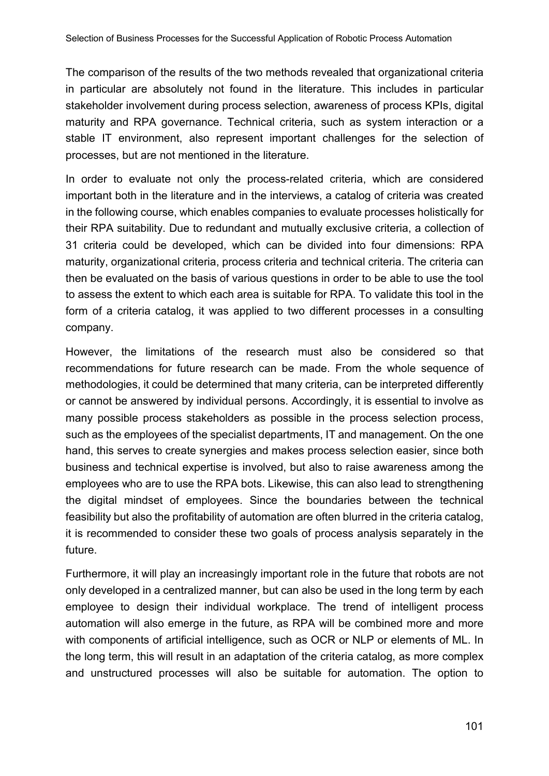The comparison of the results of the two methods revealed that organizational criteria in particular are absolutely not found in the literature. This includes in particular stakeholder involvement during process selection, awareness of process KPIs, digital maturity and RPA governance. Technical criteria, such as system interaction or a stable IT environment, also represent important challenges for the selection of processes, but are not mentioned in the literature.

In order to evaluate not only the process-related criteria, which are considered important both in the literature and in the interviews, a catalog of criteria was created in the following course, which enables companies to evaluate processes holistically for their RPA suitability. Due to redundant and mutually exclusive criteria, a collection of 31 criteria could be developed, which can be divided into four dimensions: RPA maturity, organizational criteria, process criteria and technical criteria. The criteria can then be evaluated on the basis of various questions in order to be able to use the tool to assess the extent to which each area is suitable for RPA. To validate this tool in the form of a criteria catalog, it was applied to two different processes in a consulting company.

However, the limitations of the research must also be considered so that recommendations for future research can be made. From the whole sequence of methodologies, it could be determined that many criteria, can be interpreted differently or cannot be answered by individual persons. Accordingly, it is essential to involve as many possible process stakeholders as possible in the process selection process, such as the employees of the specialist departments, IT and management. On the one hand, this serves to create synergies and makes process selection easier, since both business and technical expertise is involved, but also to raise awareness among the employees who are to use the RPA bots. Likewise, this can also lead to strengthening the digital mindset of employees. Since the boundaries between the technical feasibility but also the profitability of automation are often blurred in the criteria catalog, it is recommended to consider these two goals of process analysis separately in the future.

Furthermore, it will play an increasingly important role in the future that robots are not only developed in a centralized manner, but can also be used in the long term by each employee to design their individual workplace. The trend of intelligent process automation will also emerge in the future, as RPA will be combined more and more with components of artificial intelligence, such as OCR or NLP or elements of ML. In the long term, this will result in an adaptation of the criteria catalog, as more complex and unstructured processes will also be suitable for automation. The option to